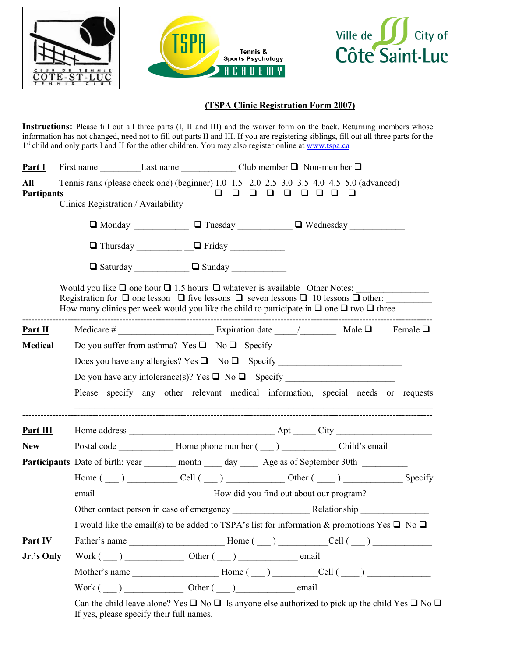





## (TSPA Clinic Registration Form 2007)

Instructions: Please fill out all three parts (I, II and III) and the waiver form on the back. Returning members whose information has not changed, need not to fill out parts II and III. If you are registering siblings, fill out all three parts for the 1<sup>st</sup> child and only parts I and II for the other children. You may also register online at www.tspa.ca

| Part I                   |                                                                                                                                                                                                                                                                                                                     |                                                                                                                                                                 |                                   |  |          |  |  |                                                                                                                                                                                                 |  |
|--------------------------|---------------------------------------------------------------------------------------------------------------------------------------------------------------------------------------------------------------------------------------------------------------------------------------------------------------------|-----------------------------------------------------------------------------------------------------------------------------------------------------------------|-----------------------------------|--|----------|--|--|-------------------------------------------------------------------------------------------------------------------------------------------------------------------------------------------------|--|
| All<br><b>Partipants</b> | Tennis rank (please check one) (beginner) 1.0 1.5 2.0 2.5 3.0 3.5 4.0 4.5 5.0 (advanced)<br>Clinics Registration / Availability                                                                                                                                                                                     |                                                                                                                                                                 | $\Box$                            |  | 00000000 |  |  |                                                                                                                                                                                                 |  |
|                          |                                                                                                                                                                                                                                                                                                                     |                                                                                                                                                                 |                                   |  |          |  |  |                                                                                                                                                                                                 |  |
|                          |                                                                                                                                                                                                                                                                                                                     | $\Box$ Thursday $\Box$ Friday                                                                                                                                   |                                   |  |          |  |  |                                                                                                                                                                                                 |  |
|                          |                                                                                                                                                                                                                                                                                                                     | $\Box$ Saturday $\Box$ Sunday $\Box$                                                                                                                            |                                   |  |          |  |  |                                                                                                                                                                                                 |  |
|                          | Would you like $\Box$ one hour $\Box$ 1.5 hours $\Box$ whatever is available Other Notes:<br>Registration for $\Box$ one lesson $\Box$ five lessons $\Box$ seven lessons $\Box$ 10 lessons $\Box$ other:<br>How many clinics per week would you like the child to participate in $\Box$ one $\Box$ two $\Box$ three |                                                                                                                                                                 |                                   |  |          |  |  |                                                                                                                                                                                                 |  |
| Part II                  |                                                                                                                                                                                                                                                                                                                     |                                                                                                                                                                 |                                   |  |          |  |  |                                                                                                                                                                                                 |  |
| <b>Medical</b>           |                                                                                                                                                                                                                                                                                                                     |                                                                                                                                                                 |                                   |  |          |  |  |                                                                                                                                                                                                 |  |
|                          |                                                                                                                                                                                                                                                                                                                     |                                                                                                                                                                 |                                   |  |          |  |  |                                                                                                                                                                                                 |  |
|                          |                                                                                                                                                                                                                                                                                                                     |                                                                                                                                                                 |                                   |  |          |  |  |                                                                                                                                                                                                 |  |
|                          |                                                                                                                                                                                                                                                                                                                     |                                                                                                                                                                 |                                   |  |          |  |  | Please specify any other relevant medical information, special needs or requests                                                                                                                |  |
| Part $III$               |                                                                                                                                                                                                                                                                                                                     |                                                                                                                                                                 |                                   |  |          |  |  |                                                                                                                                                                                                 |  |
| <b>New</b>               |                                                                                                                                                                                                                                                                                                                     |                                                                                                                                                                 |                                   |  |          |  |  |                                                                                                                                                                                                 |  |
|                          | Participants Date of birth: year _______ month _____ day ______ Age as of September 30th _________                                                                                                                                                                                                                  |                                                                                                                                                                 |                                   |  |          |  |  |                                                                                                                                                                                                 |  |
|                          |                                                                                                                                                                                                                                                                                                                     |                                                                                                                                                                 |                                   |  |          |  |  | Home $(\underline{\hspace{1cm}})$ $\underline{\hspace{1cm}}$ Cell $(\underline{\hspace{1cm}})$ $\underline{\hspace{1cm}}$ Other $(\underline{\hspace{1cm}})$ $\underline{\hspace{1cm}}$ Specify |  |
|                          | email                                                                                                                                                                                                                                                                                                               | How did you find out about our program?                                                                                                                         |                                   |  |          |  |  |                                                                                                                                                                                                 |  |
|                          |                                                                                                                                                                                                                                                                                                                     |                                                                                                                                                                 |                                   |  |          |  |  |                                                                                                                                                                                                 |  |
|                          |                                                                                                                                                                                                                                                                                                                     | I would like the email(s) to be added to TSPA's list for information & promotions Yes $\Box$ No $\Box$                                                          |                                   |  |          |  |  |                                                                                                                                                                                                 |  |
| Part IV                  |                                                                                                                                                                                                                                                                                                                     |                                                                                                                                                                 |                                   |  |          |  |  |                                                                                                                                                                                                 |  |
| Jr.'s Only               |                                                                                                                                                                                                                                                                                                                     |                                                                                                                                                                 | $Work(\_\_)$ Other $(\_\_)$ email |  |          |  |  |                                                                                                                                                                                                 |  |
|                          |                                                                                                                                                                                                                                                                                                                     |                                                                                                                                                                 |                                   |  |          |  |  |                                                                                                                                                                                                 |  |
|                          |                                                                                                                                                                                                                                                                                                                     |                                                                                                                                                                 | $Work(\_\_)$ Other $(\_\_)$ email |  |          |  |  |                                                                                                                                                                                                 |  |
|                          |                                                                                                                                                                                                                                                                                                                     | Can the child leave alone? Yes $\Box$ No $\Box$ Is anyone else authorized to pick up the child Yes $\Box$ No $\Box$<br>If yes, please specify their full names. |                                   |  |          |  |  |                                                                                                                                                                                                 |  |

 $\_$  , and the contribution of the contribution of the contribution of the contribution of  $\mathcal{L}_\text{max}$